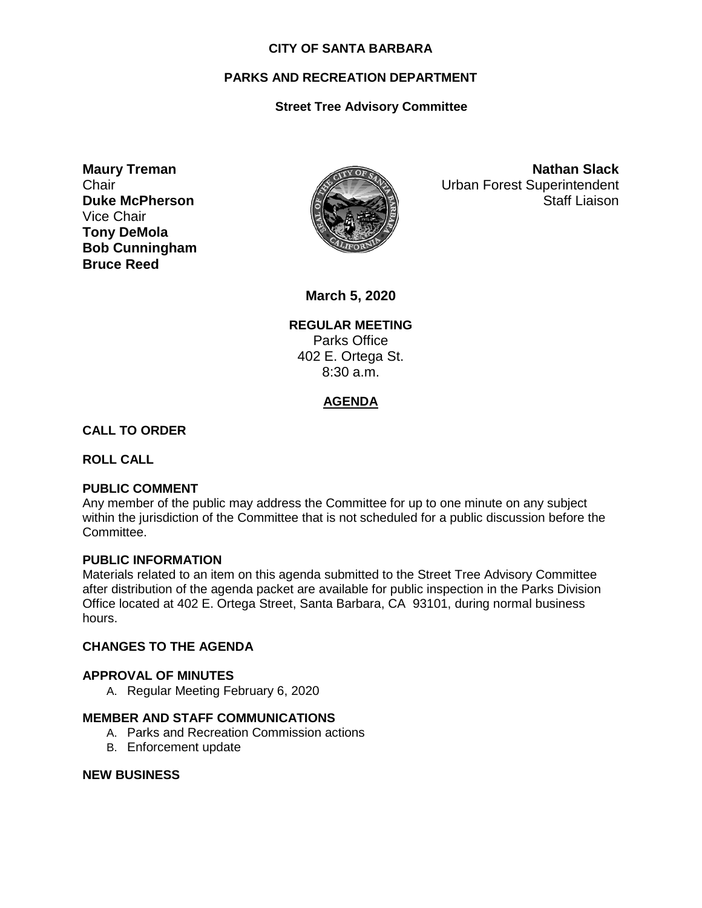### **CITY OF SANTA BARBARA**

# **PARKS AND RECREATION DEPARTMENT**

# **Street Tree Advisory Committee**

**Maury Treman Chair Duke McPherson** Vice Chair **Tony DeMola Bob Cunningham Bruce Reed**



**Nathan Slack** Urban Forest Superintendent Staff Liaison

**March 5, 2020**

**REGULAR MEETING** Parks Office 402 E. Ortega St. 8:30 a.m.

# **AGENDA**

## **CALL TO ORDER**

**ROLL CALL**

## **PUBLIC COMMENT**

Any member of the public may address the Committee for up to one minute on any subject within the jurisdiction of the Committee that is not scheduled for a public discussion before the Committee.

#### **PUBLIC INFORMATION**

Materials related to an item on this agenda submitted to the Street Tree Advisory Committee after distribution of the agenda packet are available for public inspection in the Parks Division Office located at 402 E. Ortega Street, Santa Barbara, CA 93101, during normal business hours.

## **CHANGES TO THE AGENDA**

#### **APPROVAL OF MINUTES**

A. Regular Meeting February 6, 2020

## **MEMBER AND STAFF COMMUNICATIONS**

- A. Parks and Recreation Commission actions
- B. Enforcement update

#### **NEW BUSINESS**